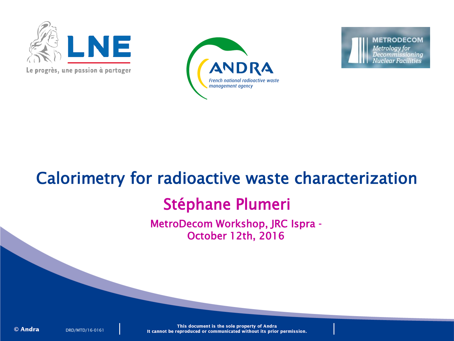

Le progrès, une passion à partager



**METRODECOM Metrology** for Decommissioning **Nuclear Facilities** 

# Calorimetry for radioactive waste characterization

# Stéphane Plumeri

MetroDecom Workshop, JRC Ispra - October 12th, 2016

© Andra

DRD/MTD/16-0161

This document is the sole property of Andra It cannot be reproduced or communicated without its prior permission.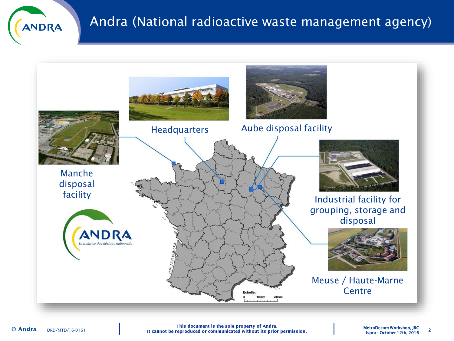

## Andra (National radioactive waste management agency)



This document is the sole property of Andra. DRD/MTD/16-0161 **12th, 2016 12th, 2016 12th, 2016 12th, 2016 12th, 2016 12th, 2016 12th, 2016 12th, 2016 12th, 2016**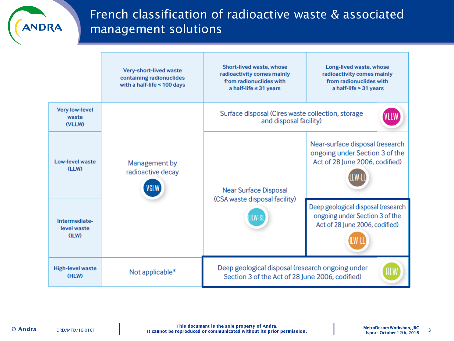

## French classification of radioactive waste & associated management solutions

|                                                 | Very-short-lived waste<br>containing radionuclides<br>with a half-life < 100 days | <b>Short-lived waste, whose</b><br>radioactivity comes mainly<br>from radionuclides with<br>a half-life $\leq$ 31 years | Long-lived waste, whose<br>radioactivity comes mainly<br>from radionuclides with<br>a half-life > 31 years |
|-------------------------------------------------|-----------------------------------------------------------------------------------|-------------------------------------------------------------------------------------------------------------------------|------------------------------------------------------------------------------------------------------------|
| <b>Very low-level</b><br>waste<br><b>(VLLW)</b> | Management by<br>radioactive decay<br><b>VSLW</b>                                 | Surface disposal (Cires waste collection, storage<br>and disposal facility)                                             |                                                                                                            |
| Low-level waste<br>(LLW)                        |                                                                                   | <b>Near Surface Disposal</b><br>(CSA waste disposal facility)                                                           | Near-surface disposal (research<br>ongoing under Section 3 of the<br>Act of 28 June 2006, codified)        |
| Intermediate-<br>level waste<br>(ILW)           |                                                                                   |                                                                                                                         | Deep geological disposal (research<br>ongoing under Section 3 of the<br>Act of 28 June 2006, codified)     |
| <b>High-level waste</b><br>(HLW)                | Not applicable*                                                                   | Deep geological disposal (research ongoing under<br>Section 3 of the Act of 28 June 2006, codified)                     |                                                                                                            |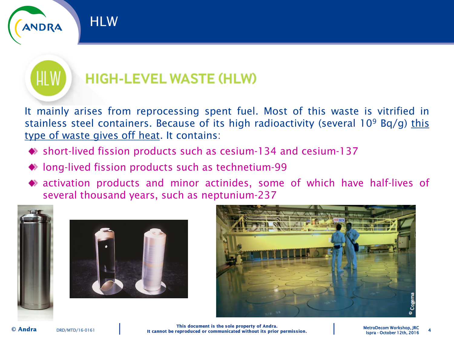

# **HIGH-LEVEL WASTE (HLW)**

It mainly arises from reprocessing spent fuel. Most of this waste is vitrified in stainless steel containers. Because of its high radioactivity (several  $10^9$  Bq/g) this type of waste gives off heat. It contains:

- short-lived fission products such as cesium-134 and cesium-137
- ◆ long-lived fission products such as technetium-99
- activation products and minor actinides, some of which have half-lives of several thousand years, such as neptunium-237





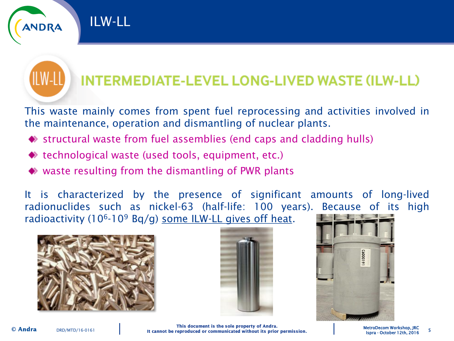

This waste mainly comes from spent fuel reprocessing and activities involved in the maintenance, operation and dismantling of nuclear plants.

- $\bullet$  structural waste from fuel assemblies (end caps and cladding hulls)
- ◆ technological waste (used tools, equipment, etc.)
- ◆ waste resulting from the dismantling of PWR plants

It is characterized by the presence of significant amounts of long-lived radionuclides such as nickel-63 (half-life: 100 years). Because of its high radioactivity (10<sup>6</sup>-10<sup>9</sup> Bq/g) some ILW-LL gives off heat.



ILW-LL





MetroDecom Workshop, JRC

© Andra

This document is the sole property of Andra.<br>Ispra - October 12th, 2016 It cannot be reproduced or communicated without its prior permission. [13th, 2016] Ispra - October 12th, 2016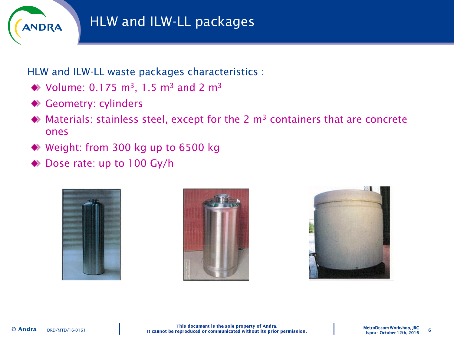

# HLW and ILW-LL packages

HLW and ILW-LL waste packages characteristics :

- ◆ Volume: 0.175 m<sup>3</sup>, 1.5 m<sup>3</sup> and 2 m<sup>3</sup>
- ◆ Geometry: cylinders
- $\blacklozenge$  Materials: stainless steel, except for the 2 m<sup>3</sup> containers that are concrete ones
- ◆ Weight: from 300 kg up to 6500 kg
- Dose rate: up to 100 Gy/h





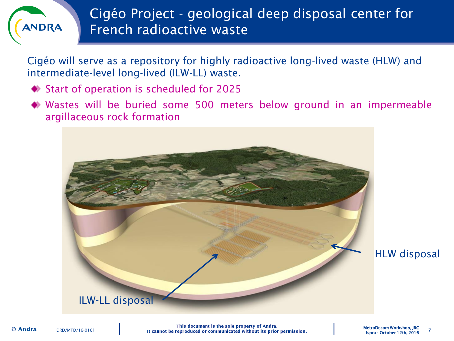# ANDRA

# Cigéo Project - geological deep disposal center for French radioactive waste

Cigéo will serve as a repository for highly radioactive long-lived waste (HLW) and intermediate-level long-lived (ILW-LL) waste.

- ◆ Start of operation is scheduled for 2025
- Wastes will be buried some 500 meters below ground in an impermeable argillaceous rock formation

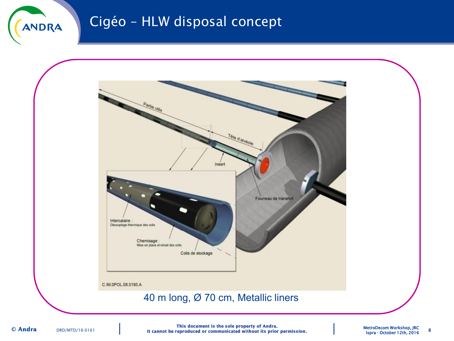

## Cigéo – HLW disposal concept



This document is the sole property of Andra.<br>18 It cannot be reproduced or communicated without its prior permission. [13th, 2016] Ispra - October 12th, 2016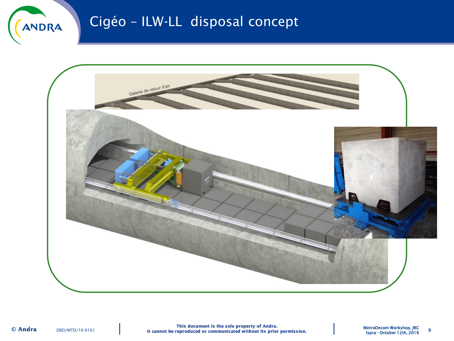

# Cigéo – ILW-LL disposal concept

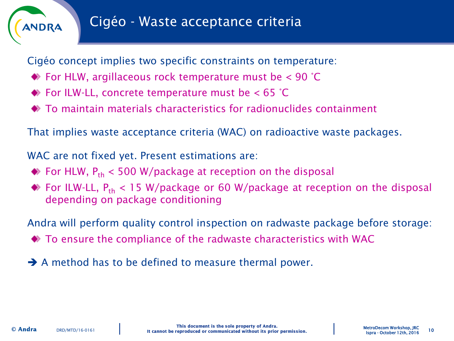

Cigéo concept implies two specific constraints on temperature:

- $\blacklozenge$  For HLW, argillaceous rock temperature must be  $\lt$  90 °C
- $\blacktriangleright$  For ILW-LL, concrete temperature must be  $<$  65 °C
- To maintain materials characteristics for radionuclides containment

That implies waste acceptance criteria (WAC) on radioactive waste packages.

WAC are not fixed yet. Present estimations are:

- $\bullet$  For HLW,  $P_{th}$  < 500 W/package at reception on the disposal
- $\bullet$  For ILW-LL,  $P_{th}$  < 15 W/package or 60 W/package at reception on the disposal depending on package conditioning

Andra will perform quality control inspection on radwaste package before storage:

To ensure the compliance of the radwaste characteristics with WAC

A method has to be defined to measure thermal power.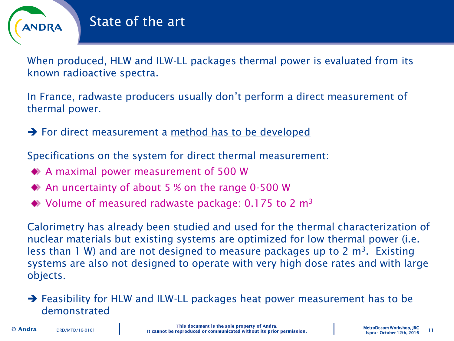

When produced, HLW and ILW-LL packages thermal power is evaluated from its known radioactive spectra.

In France, radwaste producers usually don't perform a direct measurement of thermal power.

 $\rightarrow$  For direct measurement a method has to be developed

Specifications on the system for direct thermal measurement:

- A maximal power measurement of 500 W
- ◆ An uncertainty of about 5 % on the range 0-500 W
- $\blacklozenge$  Volume of measured radwaste package: 0.175 to 2 m<sup>3</sup>

Calorimetry has already been studied and used for the thermal characterization of nuclear materials but existing systems are optimized for low thermal power (i.e. less than 1 W) and are not designed to measure packages up to 2  $m<sup>3</sup>$ . Existing systems are also not designed to operate with very high dose rates and with large objects.

## $\rightarrow$  Feasibility for HLW and ILW-LL packages heat power measurement has to be demonstrated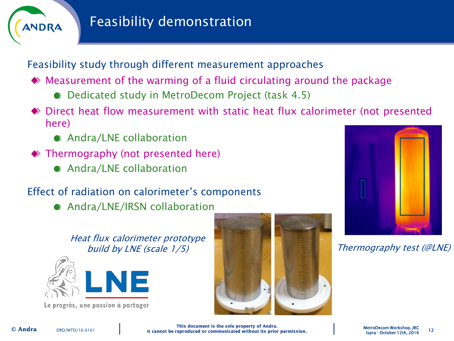

Feasibility study through different measurement approaches

- Measurement of the warming of a fluid circulating around the package
	- Dedicated study in MetroDecom Project (task 4.5)
- Direct heat flow measurement with static heat flux calorimeter (not presented here)
	- Andra/LNE collaboration
- ◆ Thermography (not presented here)
	- Andra/LNE collaboration

## Effect of radiation on calorimeter's components

● Andra/LNE/IRSN collaboration

Heat flux calorimeter prototype build by LNE (scale 1/5) **Thermography test (@LNE)** 



Le progrès, une passion à partager





This document is the sole property of Andra.<br>12 MetroDecom Workshop, JRC 12 (It cannot be reproduced or communicated without its prior permission. [12] Ispra - October 12th, 2016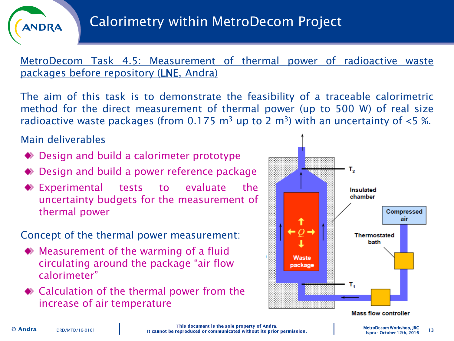

MetroDecom Task 4.5: Measurement of thermal power of radioactive waste packages before repository (LNE, Andra)

The aim of this task is to demonstrate the feasibility of a traceable calorimetric method for the direct measurement of thermal power (up to 500 W) of real size radioactive waste packages (from 0.175  $m^3$  up to 2  $m^3$ ) with an uncertainty of <5 %.

Main deliverables

- ◆ Design and build a calorimeter prototype
- ◆ Design and build a power reference package
- Experimental tests to evaluate the uncertainty budgets for the measurement of thermal power

Concept of the thermal power measurement:

- Measurement of the warming of a fluid circulating around the package "air flow calorimeter"
- ◆ Calculation of the thermal power from the increase of air temperature

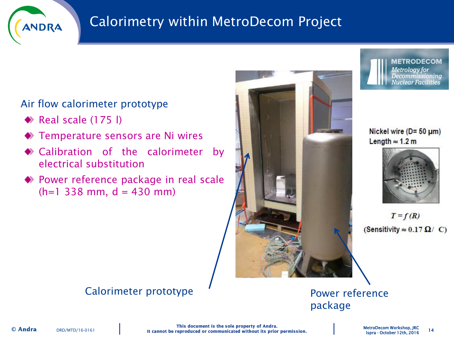

# Calorimetry within MetroDecom Project

## Air flow calorimeter prototype

- $\blacktriangleright$  Real scale (175 l)
- ◆ Temperature sensors are Ni wires
- Calibration of the calorimeter by electrical substitution
- Power reference package in real scale  $(h=1 338$  mm,  $d = 430$  mm)





#### Nickel wire ( $D = 50 \mu m$ ) Length  $\approx$  1.2 m



 $T = f(R)$ (Sensitivity  $\approx 0.17 \Omega / C$ )

### Calorimeter prototype  $\blacksquare$  Power reference

package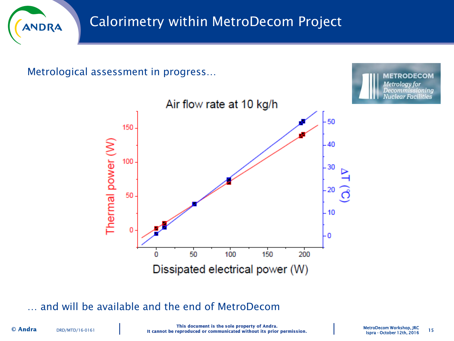

Metrological assessment in progress…





… and will be available and the end of MetroDecom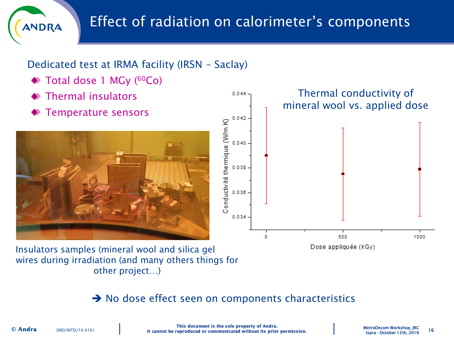



wires during irradiation (and many others things for other project…)

### $\rightarrow$  No dose effect seen on components characteristics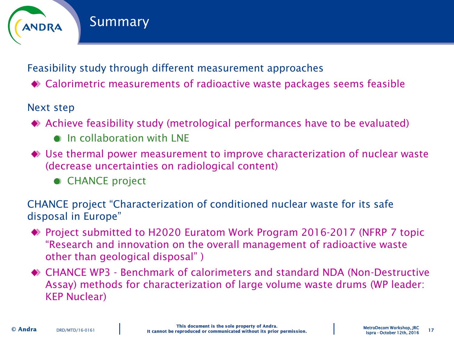

## Feasibility study through different measurement approaches

Calorimetric measurements of radioactive waste packages seems feasible

#### Next step

- Achieve feasibility study (metrological performances have to be evaluated)
	- **O** In collaboration with LNF
- Use thermal power measurement to improve characterization of nuclear waste (decrease uncertainties on radiological content)
	- CHANCE project

CHANCE project "Characterization of conditioned nuclear waste for its safe disposal in Europe"

- ◆ Project submitted to H2020 Euratom Work Program 2016-2017 (NFRP 7 topic "Research and innovation on the overall management of radioactive waste other than geological disposal" )
- CHANCE WP3 Benchmark of calorimeters and standard NDA (Non-Destructive Assay) methods for characterization of large volume waste drums (WP leader: KEP Nuclear)